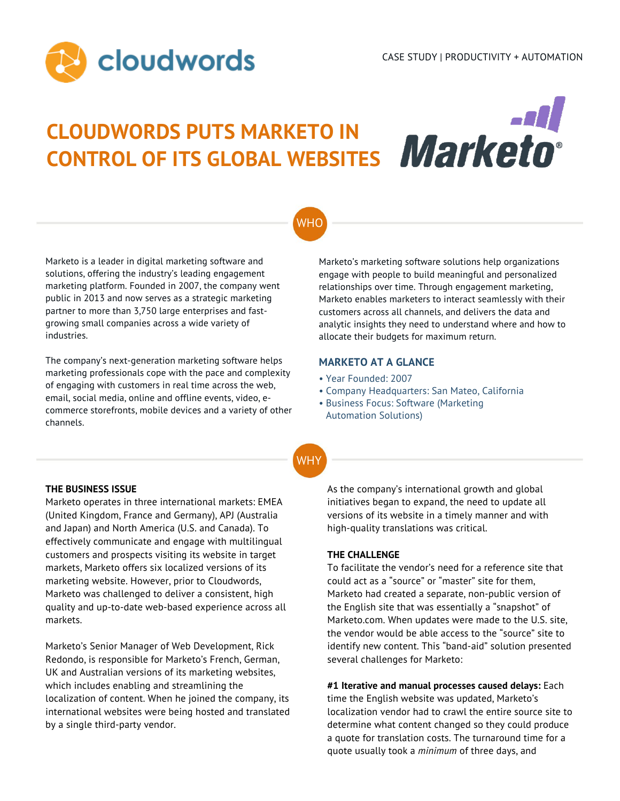

# **CLOUDWORDS PUTS MARKETO IN CONTROL OF ITS GLOBAL WEBSITES**



## WHO

Marketo is a leader in digital marketing software and solutions, offering the industry's leading engagement marketing platform. Founded in 2007, the company went public in 2013 and now serves as a strategic marketing partner to more than 3,750 large enterprises and fastgrowing small companies across a wide variety of industries.

The company's next-generation marketing software helps marketing professionals cope with the pace and complexity of engaging with customers in real time across the web, email, social media, online and offline events, video, ecommerce storefronts, mobile devices and a variety of other channels.

Marketo's marketing software solutions help organizations engage with people to build meaningful and personalized relationships over time. Through engagement marketing, Marketo enables marketers to interact seamlessly with their customers across all channels, and delivers the data and analytic insights they need to understand where and how to allocate their budgets for maximum return.

## **MARKETO AT A GLANCE**

- Year Founded: 2007
- Company Headquarters: San Mateo, California
- Business Focus: Software (Marketing Automation Solutions)

**WHY** 

## **THE BUSINESS ISSUE**

Marketo operates in three international markets: EMEA (United Kingdom, France and Germany), APJ (Australia and Japan) and North America (U.S. and Canada). To effectively communicate and engage with multilingual customers and prospects visiting its website in target markets, Marketo offers six localized versions of its marketing website. However, prior to Cloudwords, Marketo was challenged to deliver a consistent, high quality and up-to-date web-based experience across all markets.

Marketo's Senior Manager of Web Development, Rick Redondo, is responsible for Marketo's French, German, UK and Australian versions of its marketing websites, which includes enabling and streamlining the localization of content. When he joined the company, its international websites were being hosted and translated by a single third-party vendor.

As the company's international growth and global initiatives began to expand, the need to update all versions of its website in a timely manner and with high-quality translations was critical.

## **THE CHALLENGE**

To facilitate the vendor's need for a reference site that could act as a "source" or "master" site for them, Marketo had created a separate, non-public version of the English site that was essentially a "snapshot" of Marketo.com. When updates were made to the U.S. site, the vendor would be able access to the "source" site to identify new content. This "band-aid" solution presented several challenges for Marketo:

**#1 Iterative and manual processes caused delays:** Each time the English website was updated, Marketo's localization vendor had to crawl the entire source site to determine what content changed so they could produce a quote for translation costs. The turnaround time for a quote usually took a *minimum* of three days, and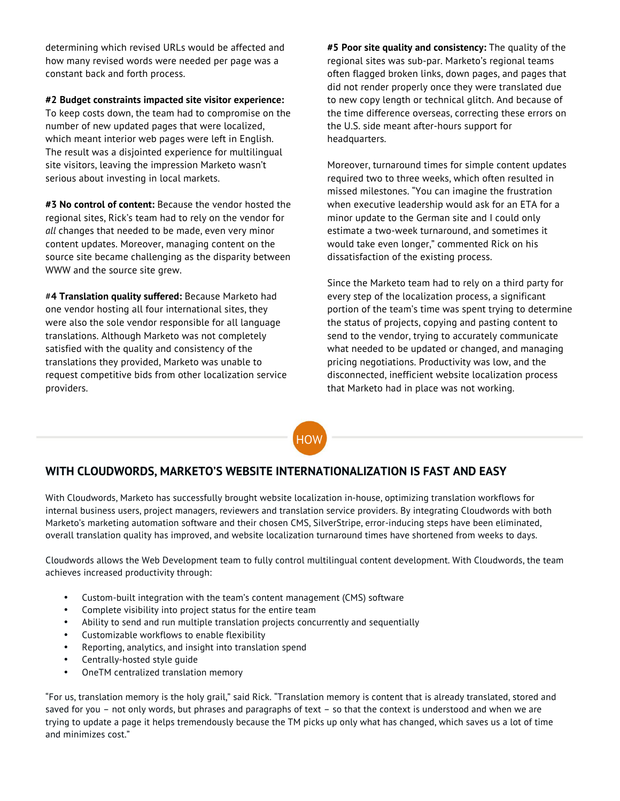determining which revised URLs would be affected and how many revised words were needed per page was a constant back and forth process.

## **#2 Budget constraints impacted site visitor experience:**

To keep costs down, the team had to compromise on the number of new updated pages that were localized, which meant interior web pages were left in English. The result was a disjointed experience for multilingual site visitors, leaving the impression Marketo wasn't serious about investing in local markets.

**#3 No control of content:** Because the vendor hosted the regional sites, Rick's team had to rely on the vendor for *all* changes that needed to be made, even very minor content updates. Moreover, managing content on the source site became challenging as the disparity between WWW and the source site grew.

#**4 Translation quality suffered:** Because Marketo had one vendor hosting all four international sites, they were also the sole vendor responsible for all language translations. Although Marketo was not completely satisfied with the quality and consistency of the translations they provided, Marketo was unable to request competitive bids from other localization service providers.

**#5 Poor site quality and consistency:** The quality of the regional sites was sub-par. Marketo's regional teams often flagged broken links, down pages, and pages that did not render properly once they were translated due to new copy length or technical glitch. And because of the time difference overseas, correcting these errors on the U.S. side meant after-hours support for headquarters.

Moreover, turnaround times for simple content updates required two to three weeks, which often resulted in missed milestones. "You can imagine the frustration when executive leadership would ask for an ETA for a minor update to the German site and I could only estimate a two-week turnaround, and sometimes it would take even longer," commented Rick on his dissatisfaction of the existing process.

Since the Marketo team had to rely on a third party for every step of the localization process, a significant portion of the team's time was spent trying to determine the status of projects, copying and pasting content to send to the vendor, trying to accurately communicate what needed to be updated or changed, and managing pricing negotiations. Productivity was low, and the disconnected, inefficient website localization process that Marketo had in place was not working.

**HOW** 

## **WITH CLOUDWORDS, MARKETO'S WEBSITE INTERNATIONALIZATION IS FAST AND EASY**

With Cloudwords, Marketo has successfully brought website localization in-house, optimizing translation workflows for internal business users, project managers, reviewers and translation service providers. By integrating Cloudwords with both Marketo's marketing automation software and their chosen CMS, SilverStripe, error-inducing steps have been eliminated, overall translation quality has improved, and website localization turnaround times have shortened from weeks to days.

Cloudwords allows the Web Development team to fully control multilingual content development. With Cloudwords, the team achieves increased productivity through:

- Custom-built integration with the team's content management (CMS) software
- Complete visibility into project status for the entire team
- Ability to send and run multiple translation projects concurrently and sequentially
- Customizable workflows to enable flexibility
- Reporting, analytics, and insight into translation spend
- Centrally-hosted style guide
- OneTM centralized translation memory

"For us, translation memory is the holy grail," said Rick. "Translation memory is content that is already translated, stored and saved for you – not only words, but phrases and paragraphs of text – so that the context is understood and when we are trying to update a page it helps tremendously because the TM picks up only what has changed, which saves us a lot of time and minimizes cost."